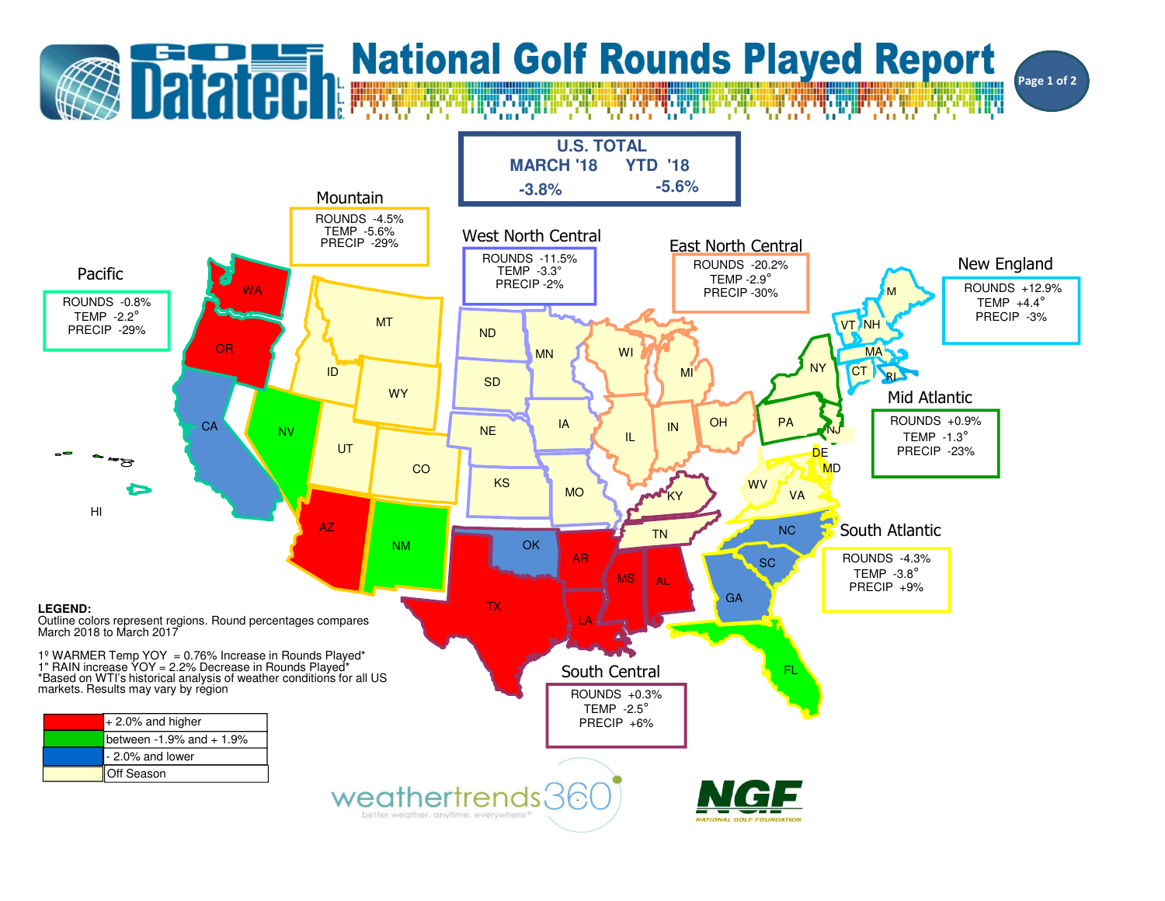